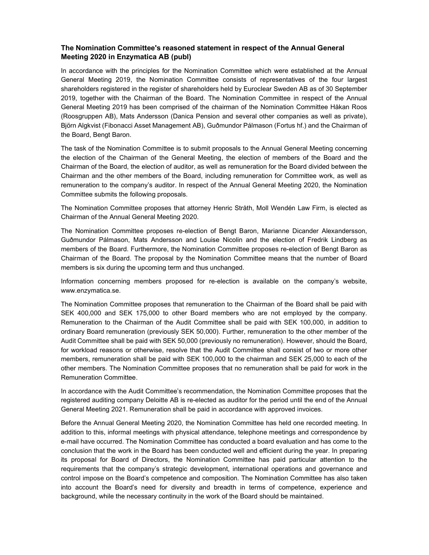## The Nomination Committee's reasoned statement in respect of the Annual General Meeting 2020 in Enzymatica AB (publ)

In accordance with the principles for the Nomination Committee which were established at the Annual General Meeting 2019, the Nomination Committee consists of representatives of the four largest shareholders registered in the register of shareholders held by Euroclear Sweden AB as of 30 September 2019, together with the Chairman of the Board. The Nomination Committee in respect of the Annual General Meeting 2019 has been comprised of the chairman of the Nomination Committee Håkan Roos (Roosgruppen AB), Mats Andersson (Danica Pension and several other companies as well as private), Björn Algkvist (Fibonacci Asset Management AB), Guðmundor Pálmason (Fortus hf.) and the Chairman of the Board, Bengt Baron.

The task of the Nomination Committee is to submit proposals to the Annual General Meeting concerning the election of the Chairman of the General Meeting, the election of members of the Board and the Chairman of the Board, the election of auditor, as well as remuneration for the Board divided between the Chairman and the other members of the Board, including remuneration for Committee work, as well as remuneration to the company's auditor. In respect of the Annual General Meeting 2020, the Nomination Committee submits the following proposals.

The Nomination Committee proposes that attorney Henric Stråth, Moll Wendén Law Firm, is elected as Chairman of the Annual General Meeting 2020.

The Nomination Committee proposes re-election of Bengt Baron, Marianne Dicander Alexandersson, Guðmundor Pálmason, Mats Andersson and Louise Nicolin and the election of Fredrik Lindberg as members of the Board. Furthermore, the Nomination Committee proposes re-election of Bengt Baron as Chairman of the Board. The proposal by the Nomination Committee means that the number of Board members is six during the upcoming term and thus unchanged.

Information concerning members proposed for re-election is available on the company's website, www.enzymatica.se.

The Nomination Committee proposes that remuneration to the Chairman of the Board shall be paid with SEK 400,000 and SEK 175,000 to other Board members who are not employed by the company. Remuneration to the Chairman of the Audit Committee shall be paid with SEK 100,000, in addition to ordinary Board remuneration (previously SEK 50,000). Further, remuneration to the other member of the Audit Committee shall be paid with SEK 50,000 (previously no remuneration). However, should the Board, for workload reasons or otherwise, resolve that the Audit Committee shall consist of two or more other members, remuneration shall be paid with SEK 100,000 to the chairman and SEK 25,000 to each of the other members. The Nomination Committee proposes that no remuneration shall be paid for work in the Remuneration Committee.

In accordance with the Audit Committee's recommendation, the Nomination Committee proposes that the registered auditing company Deloitte AB is re-elected as auditor for the period until the end of the Annual General Meeting 2021. Remuneration shall be paid in accordance with approved invoices.

Before the Annual General Meeting 2020, the Nomination Committee has held one recorded meeting. In addition to this, informal meetings with physical attendance, telephone meetings and correspondence by e-mail have occurred. The Nomination Committee has conducted a board evaluation and has come to the conclusion that the work in the Board has been conducted well and efficient during the year. In preparing its proposal for Board of Directors, the Nomination Committee has paid particular attention to the requirements that the company's strategic development, international operations and governance and control impose on the Board's competence and composition. The Nomination Committee has also taken into account the Board's need for diversity and breadth in terms of competence, experience and background, while the necessary continuity in the work of the Board should be maintained.